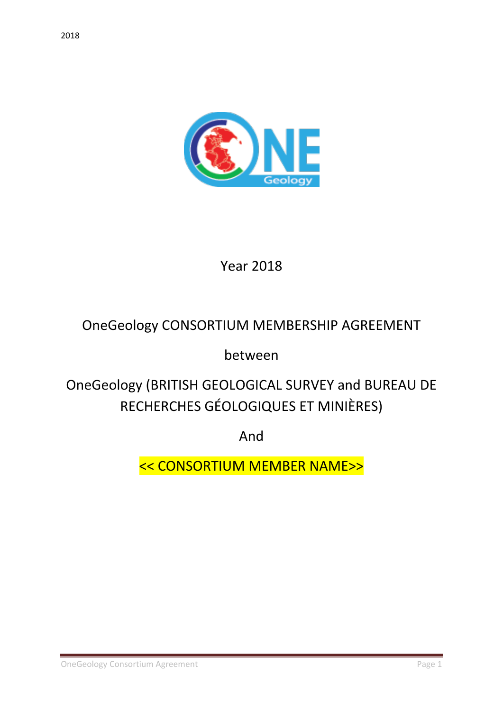

Year 2018

# OneGeology CONSORTIUM MEMBERSHIP AGREEMENT

between

OneGeology (BRITISH GEOLOGICAL SURVEY and BUREAU DE RECHERCHES GÉOLOGIQUES ET MINIÈRES)

And

<< CONSORTIUM MEMBER NAME>>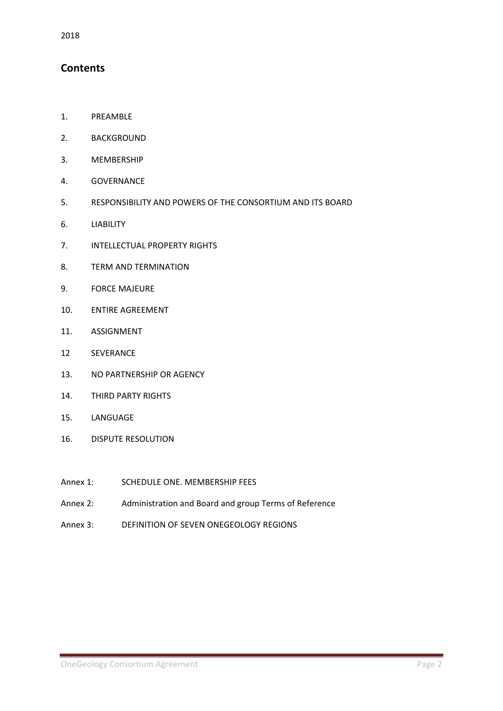## **Contents**

- 1. PREAMBLE
- 2. BACKGROUND
- 3. MEMBERSHIP
- 4. GOVERNANCE
- 5. RESPONSIBILITY AND POWERS OF THE CONSORTIUM AND ITS BOARD
- 6. LIABILITY
- 7. INTELLECTUAL PROPERTY RIGHTS
- 8. TERM AND TERMINATION
- 9. FORCE MAJEURE
- 10. ENTIRE AGREEMENT
- 11. ASSIGNMENT
- 12 SEVERANCE
- 13. NO PARTNERSHIP OR AGENCY
- 14. THIRD PARTY RIGHTS
- 15. LANGUAGE
- 16. DISPUTE RESOLUTION
- Annex 1: SCHEDULE ONE. MEMBERSHIP FEES
- Annex 2: Administration and Board and group Terms of Reference
- Annex 3: DEFINITION OF SEVEN ONEGEOLOGY REGIONS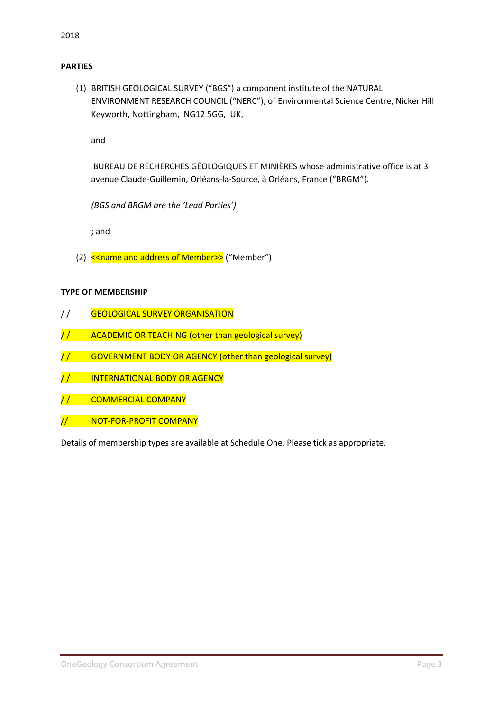#### **PARTIES**

(1) BRITISH GEOLOGICAL SURVEY ("BGS") a component institute of the NATURAL ENVIRONMENT RESEARCH COUNCIL ("NERC"), of Environmental Science Centre, Nicker Hill Keyworth, Nottingham, NG12 5GG, UK,

and

BUREAU DE RECHERCHES GÉOLOGIQUES ET MINIÈRES whose administrative office is at 3 avenue Claude-Guillemin, Orléans-la-Source, à Orléans, France ("BRGM").

*(BGS and BRGM are the 'Lead Parties')*

; and

(2) << name and address of Member>> ("Member")

#### **TYPE OF MEMBERSHIP**

- // GEOLOGICAL SURVEY ORGANISATION
- // ACADEMIC OR TEACHING (other than geological survey)
- / / GOVERNMENT BODY OR AGENCY (other than geological survey)
- / / INTERNATIONAL BODY OR AGENCY
- / / COMMERCIAL COMPANY
- // NOT-FOR-PROFIT COMPANY

Details of membership types are available at Schedule One. Please tick as appropriate.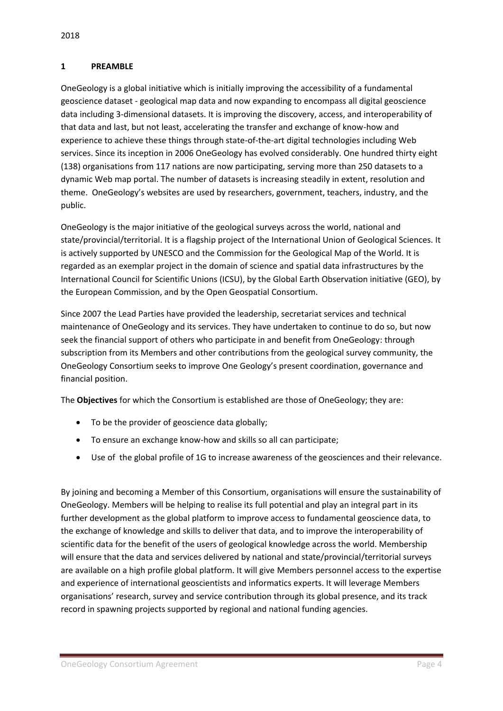#### **1 PREAMBLE**

OneGeology is a global initiative which is initially improving the accessibility of a fundamental geoscience dataset - geological map data and now expanding to encompass all digital geoscience data including 3-dimensional datasets. It is improving the discovery, access, and interoperability of that data and last, but not least, accelerating the transfer and exchange of know-how and experience to achieve these things through state-of-the-art digital technologies including Web services. Since its inception in 2006 OneGeology has evolved considerably. One hundred thirty eight (138) organisations from 117 nations are now participating, serving more than 250 datasets to a dynamic Web map portal. The number of datasets is increasing steadily in extent, resolution and theme. OneGeology's websites are used by researchers, government, teachers, industry, and the public.

OneGeology is the major initiative of the geological surveys across the world, national and state/provincial/territorial. It is a flagship project of the International Union of Geological Sciences. It is actively supported by UNESCO and the Commission for the Geological Map of the World. It is regarded as an exemplar project in the domain of science and spatial data infrastructures by the International Council for Scientific Unions (ICSU), by the Global Earth Observation initiative (GEO), by the European Commission, and by the Open Geospatial Consortium.

Since 2007 the Lead Parties have provided the leadership, secretariat services and technical maintenance of OneGeology and its services. They have undertaken to continue to do so, but now seek the financial support of others who participate in and benefit from OneGeology: through subscription from its Members and other contributions from the geological survey community, the OneGeology Consortium seeks to improve One Geology's present coordination, governance and financial position.

The **Objectives** for which the Consortium is established are those of OneGeology; they are:

- To be the provider of geoscience data globally;
- To ensure an exchange know-how and skills so all can participate;
- Use of the global profile of 1G to increase awareness of the geosciences and their relevance.

By joining and becoming a Member of this Consortium, organisations will ensure the sustainability of OneGeology. Members will be helping to realise its full potential and play an integral part in its further development as the global platform to improve access to fundamental geoscience data, to the exchange of knowledge and skills to deliver that data, and to improve the interoperability of scientific data for the benefit of the users of geological knowledge across the world. Membership will ensure that the data and services delivered by national and state/provincial/territorial surveys are available on a high profile global platform. It will give Members personnel access to the expertise and experience of international geoscientists and informatics experts. It will leverage Members organisations' research, survey and service contribution through its global presence, and its track record in spawning projects supported by regional and national funding agencies.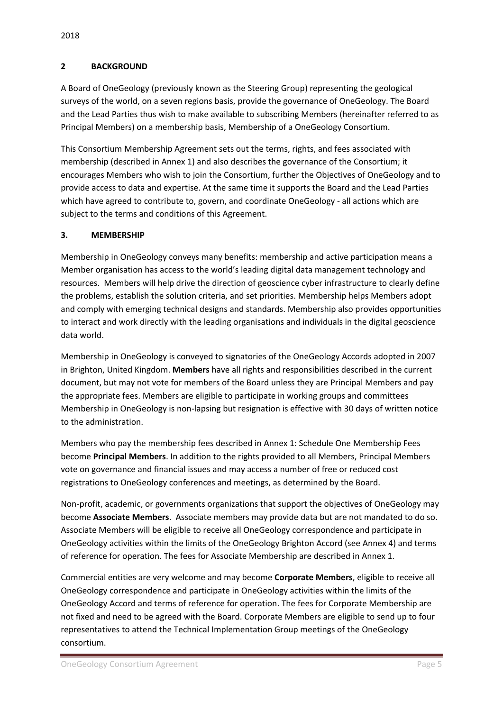### **2 BACKGROUND**

A Board of OneGeology (previously known as the Steering Group) representing the geological surveys of the world, on a seven regions basis, provide the governance of OneGeology. The Board and the Lead Parties thus wish to make available to subscribing Members (hereinafter referred to as Principal Members) on a membership basis, Membership of a OneGeology Consortium.

This Consortium Membership Agreement sets out the terms, rights, and fees associated with membership (described in Annex 1) and also describes the governance of the Consortium; it encourages Members who wish to join the Consortium, further the Objectives of OneGeology and to provide access to data and expertise. At the same time it supports the Board and the Lead Parties which have agreed to contribute to, govern, and coordinate OneGeology - all actions which are subject to the terms and conditions of this Agreement.

## **3. MEMBERSHIP**

Membership in OneGeology conveys many benefits: membership and active participation means a Member organisation has access to the world's leading digital data management technology and resources. Members will help drive the direction of geoscience cyber infrastructure to clearly define the problems, establish the solution criteria, and set priorities. Membership helps Members adopt and comply with emerging technical designs and standards. Membership also provides opportunities to interact and work directly with the leading organisations and individuals in the digital geoscience data world.

Membership in OneGeology is conveyed to signatories of the OneGeology Accords adopted in 2007 in Brighton, United Kingdom. **Members** have all rights and responsibilities described in the current document, but may not vote for members of the Board unless they are Principal Members and pay the appropriate fees. Members are eligible to participate in working groups and committees Membership in OneGeology is non-lapsing but resignation is effective with 30 days of written notice to the administration.

Members who pay the membership fees described in Annex 1: Schedule One Membership Fees become **Principal Members**. In addition to the rights provided to all Members, Principal Members vote on governance and financial issues and may access a number of free or reduced cost registrations to OneGeology conferences and meetings, as determined by the Board.

Non-profit, academic, or governments organizations that support the objectives of OneGeology may become **Associate Members**. Associate members may provide data but are not mandated to do so. Associate Members will be eligible to receive all OneGeology correspondence and participate in OneGeology activities within the limits of the OneGeology Brighton Accord (see Annex 4) and terms of reference for operation. The fees for Associate Membership are described in Annex 1.

Commercial entities are very welcome and may become **Corporate Members**, eligible to receive all OneGeology correspondence and participate in OneGeology activities within the limits of the OneGeology Accord and terms of reference for operation. The fees for Corporate Membership are not fixed and need to be agreed with the Board. Corporate Members are eligible to send up to four representatives to attend the Technical Implementation Group meetings of the OneGeology consortium.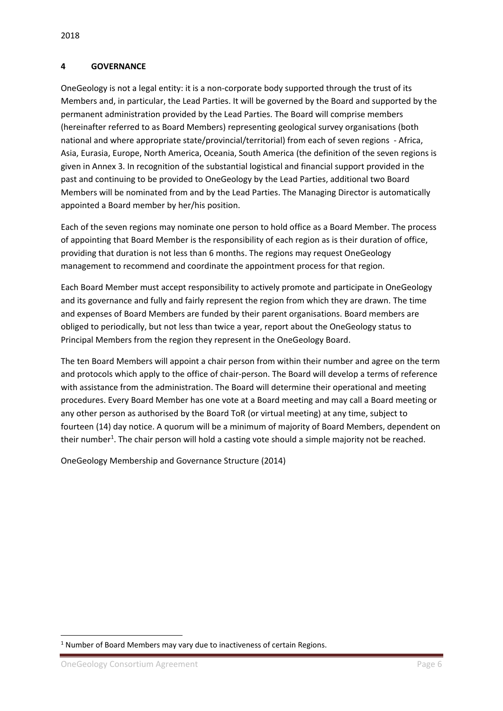#### **4 GOVERNANCE**

OneGeology is not a legal entity: it is a non-corporate body supported through the trust of its Members and, in particular, the Lead Parties. It will be governed by the Board and supported by the permanent administration provided by the Lead Parties. The Board will comprise members (hereinafter referred to as Board Members) representing geological survey organisations (both national and where appropriate state/provincial/territorial) from each of seven regions - Africa, Asia, Eurasia, Europe, North America, Oceania, South America (the definition of the seven regions is given in Annex 3. In recognition of the substantial logistical and financial support provided in the past and continuing to be provided to OneGeology by the Lead Parties, additional two Board Members will be nominated from and by the Lead Parties. The Managing Director is automatically appointed a Board member by her/his position.

Each of the seven regions may nominate one person to hold office as a Board Member. The process of appointing that Board Member is the responsibility of each region as is their duration of office, providing that duration is not less than 6 months. The regions may request OneGeology management to recommend and coordinate the appointment process for that region.

Each Board Member must accept responsibility to actively promote and participate in OneGeology and its governance and fully and fairly represent the region from which they are drawn. The time and expenses of Board Members are funded by their parent organisations. Board members are obliged to periodically, but not less than twice a year, report about the OneGeology status to Principal Members from the region they represent in the OneGeology Board.

The ten Board Members will appoint a chair person from within their number and agree on the term and protocols which apply to the office of chair-person. The Board will develop a terms of reference with assistance from the administration. The Board will determine their operational and meeting procedures. Every Board Member has one vote at a Board meeting and may call a Board meeting or any other person as authorised by the Board ToR (or virtual meeting) at any time, subject to fourteen (14) day notice. A quorum will be a minimum of majority of Board Members, dependent on their number<sup>1</sup>. The chair person will hold a casting vote should a simple majority not be reached.

OneGeology Membership and Governance Structure (2014)

**.** 

 $1$  Number of Board Members may vary due to inactiveness of certain Regions.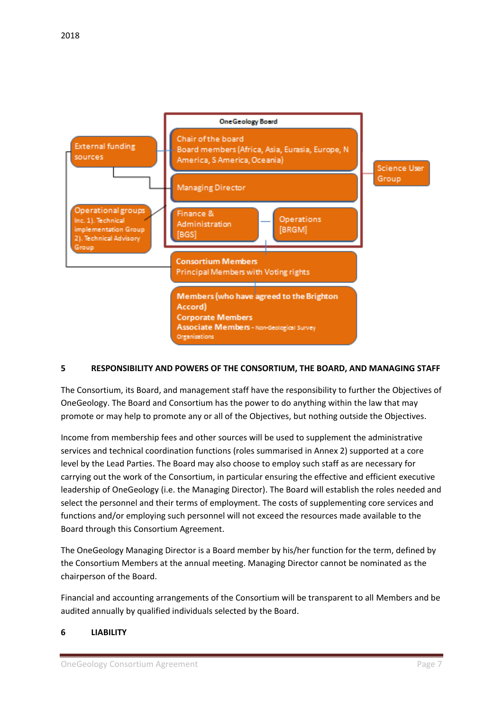

## **5 RESPONSIBILITY AND POWERS OF THE CONSORTIUM, THE BOARD, AND MANAGING STAFF**

The Consortium, its Board, and management staff have the responsibility to further the Objectives of OneGeology. The Board and Consortium has the power to do anything within the law that may promote or may help to promote any or all of the Objectives, but nothing outside the Objectives.

Income from membership fees and other sources will be used to supplement the administrative services and technical coordination functions (roles summarised in Annex 2) supported at a core level by the Lead Parties. The Board may also choose to employ such staff as are necessary for carrying out the work of the Consortium, in particular ensuring the effective and efficient executive leadership of OneGeology (i.e. the Managing Director). The Board will establish the roles needed and select the personnel and their terms of employment. The costs of supplementing core services and functions and/or employing such personnel will not exceed the resources made available to the Board through this Consortium Agreement.

The OneGeology Managing Director is a Board member by his/her function for the term, defined by the Consortium Members at the annual meeting. Managing Director cannot be nominated as the chairperson of the Board.

Financial and accounting arrangements of the Consortium will be transparent to all Members and be audited annually by qualified individuals selected by the Board.

## **6 LIABILITY**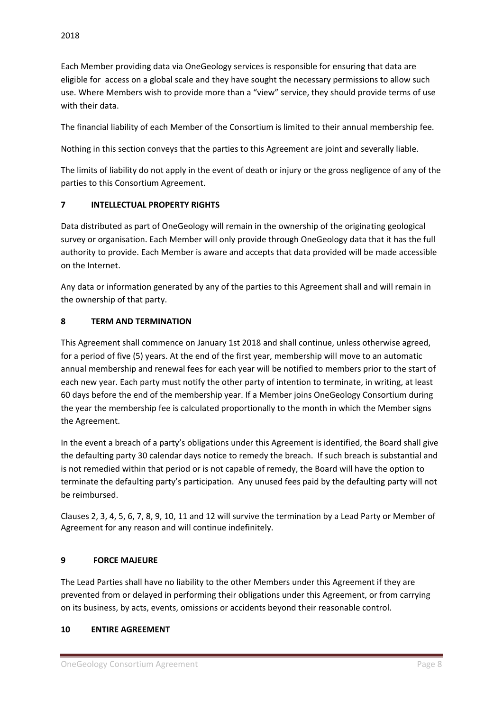Each Member providing data via OneGeology services is responsible for ensuring that data are eligible for access on a global scale and they have sought the necessary permissions to allow such use. Where Members wish to provide more than a "view" service, they should provide terms of use with their data.

The financial liability of each Member of the Consortium is limited to their annual membership fee.

Nothing in this section conveys that the parties to this Agreement are joint and severally liable.

The limits of liability do not apply in the event of death or injury or the gross negligence of any of the parties to this Consortium Agreement.

## **7 INTELLECTUAL PROPERTY RIGHTS**

Data distributed as part of OneGeology will remain in the ownership of the originating geological survey or organisation. Each Member will only provide through OneGeology data that it has the full authority to provide. Each Member is aware and accepts that data provided will be made accessible on the Internet.

Any data or information generated by any of the parties to this Agreement shall and will remain in the ownership of that party.

## **8 TERM AND TERMINATION**

This Agreement shall commence on January 1st 2018 and shall continue, unless otherwise agreed, for a period of five (5) years. At the end of the first year, membership will move to an automatic annual membership and renewal fees for each year will be notified to members prior to the start of each new year. Each party must notify the other party of intention to terminate, in writing, at least 60 days before the end of the membership year. If a Member joins OneGeology Consortium during the year the membership fee is calculated proportionally to the month in which the Member signs the Agreement.

In the event a breach of a party's obligations under this Agreement is identified, the Board shall give the defaulting party 30 calendar days notice to remedy the breach. If such breach is substantial and is not remedied within that period or is not capable of remedy, the Board will have the option to terminate the defaulting party's participation. Any unused fees paid by the defaulting party will not be reimbursed.

Clauses 2, 3, 4, 5, 6, 7, 8, 9, 10, 11 and 12 will survive the termination by a Lead Party or Member of Agreement for any reason and will continue indefinitely.

## **9 FORCE MAJEURE**

The Lead Parties shall have no liability to the other Members under this Agreement if they are prevented from or delayed in performing their obligations under this Agreement, or from carrying on its business, by acts, events, omissions or accidents beyond their reasonable control.

## **10 ENTIRE AGREEMENT**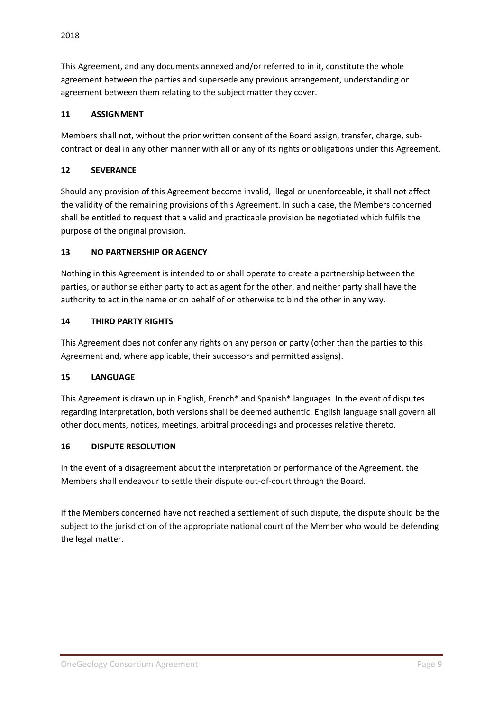This Agreement, and any documents annexed and/or referred to in it, constitute the whole agreement between the parties and supersede any previous arrangement, understanding or agreement between them relating to the subject matter they cover.

## **11 ASSIGNMENT**

Members shall not, without the prior written consent of the Board assign, transfer, charge, subcontract or deal in any other manner with all or any of its rights or obligations under this Agreement.

## **12 SEVERANCE**

Should any provision of this Agreement become invalid, illegal or unenforceable, it shall not affect the validity of the remaining provisions of this Agreement. In such a case, the Members concerned shall be entitled to request that a valid and practicable provision be negotiated which fulfils the purpose of the original provision.

## **13 NO PARTNERSHIP OR AGENCY**

Nothing in this Agreement is intended to or shall operate to create a partnership between the parties, or authorise either party to act as agent for the other, and neither party shall have the authority to act in the name or on behalf of or otherwise to bind the other in any way.

## **14 THIRD PARTY RIGHTS**

This Agreement does not confer any rights on any person or party (other than the parties to this Agreement and, where applicable, their successors and permitted assigns).

## **15 LANGUAGE**

This Agreement is drawn up in English, French\* and Spanish\* languages. In the event of disputes regarding interpretation, both versions shall be deemed authentic. English language shall govern all other documents, notices, meetings, arbitral proceedings and processes relative thereto.

## **16 DISPUTE RESOLUTION**

In the event of a disagreement about the interpretation or performance of the Agreement, the Members shall endeavour to settle their dispute out-of-court through the Board.

If the Members concerned have not reached a settlement of such dispute, the dispute should be the subject to the jurisdiction of the appropriate national court of the Member who would be defending the legal matter.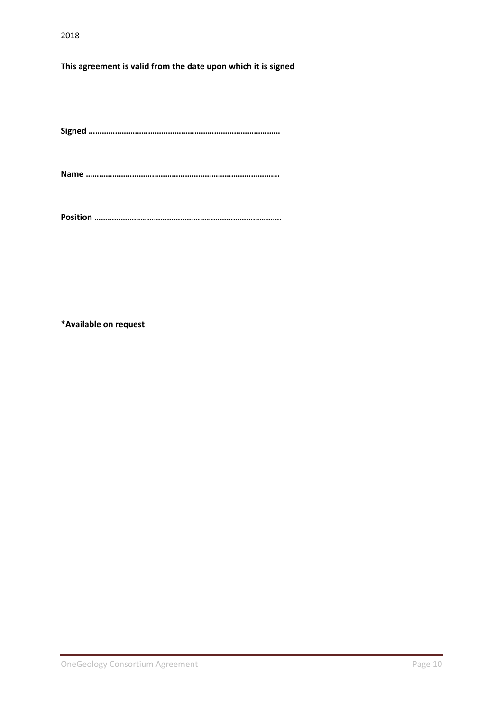## **This agreement is valid from the date upon which it is signed**

**Signed ……………………………………………………………………………**

**Name …………………………………………………………………………….**

**Position ………………………………………………………………………….**

**\*Available on request**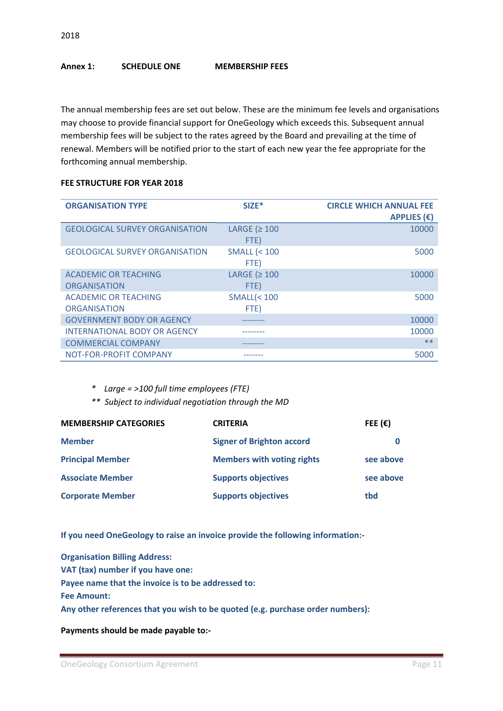#### **Annex 1: SCHEDULE ONE MEMBERSHIP FEES**

The annual membership fees are set out below. These are the minimum fee levels and organisations may choose to provide financial support for OneGeology which exceeds this. Subsequent annual membership fees will be subject to the rates agreed by the Board and prevailing at the time of renewal. Members will be notified prior to the start of each new year the fee appropriate for the forthcoming annual membership.

#### **FEE STRUCTURE FOR YEAR 2018**

| <b>ORGANISATION TYPE</b>                           | $SIZE$ *                       | <b>CIRCLE WHICH ANNUAL FEE</b><br><b>APPLIES (<math>\epsilon</math>)</b> |
|----------------------------------------------------|--------------------------------|--------------------------------------------------------------------------|
| <b>GEOLOGICAL SURVEY ORGANISATION</b>              | LARGE ( $\geq 100$<br>FTE)     | 10000                                                                    |
| <b>GEOLOGICAL SURVEY ORGANISATION</b>              | <b>SMALL (&lt; 100</b><br>FTE) | 5000                                                                     |
| <b>ACADEMIC OR TEACHING</b><br><b>ORGANISATION</b> | LARGE ( $\geq 100$<br>FTE)     | 10000                                                                    |
| <b>ACADEMIC OR TEACHING</b><br><b>ORGANISATION</b> | $SMALL$ (< 100<br>FTE)         | 5000                                                                     |
| <b>GOVERNMENT BODY OR AGENCY</b>                   |                                | 10000                                                                    |
| <b>INTERNATIONAL BODY OR AGENCY</b>                |                                | 10000                                                                    |
| <b>COMMERCIAL COMPANY</b>                          |                                | $**$                                                                     |
| NOT-FOR-PROFIT COMPANY                             |                                | 5000                                                                     |

*\* Large = >100 full time employees (FTE)*

*\*\* Subject to individual negotiation through the MD*

| <b>MEMBERSHIP CATEGORIES</b> | <b>CRITERIA</b>                   | FEE $(\epsilon)$ |
|------------------------------|-----------------------------------|------------------|
| <b>Member</b>                | <b>Signer of Brighton accord</b>  |                  |
| <b>Principal Member</b>      | <b>Members with voting rights</b> | see above        |
| <b>Associate Member</b>      | <b>Supports objectives</b>        | see above        |
| <b>Corporate Member</b>      | <b>Supports objectives</b>        | tbd              |

**If you need OneGeology to raise an invoice provide the following information:-**

**Organisation Billing Address: VAT (tax) number if you have one: Payee name that the invoice is to be addressed to: Fee Amount: Any other references that you wish to be quoted (e.g. purchase order numbers):**

**Payments should be made payable to:-**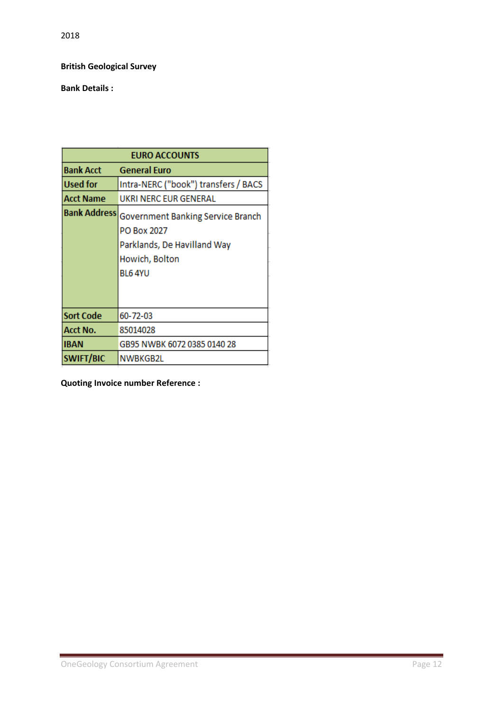2018

## **British Geological Survey**

## **Bank Details :**

|                     | <b>EURO ACCOUNTS</b>                 |
|---------------------|--------------------------------------|
| <b>Bank Acct</b>    | <b>General Euro</b>                  |
| Used for            | Intra-NERC ("book") transfers / BACS |
| Acct Name           | UKRI NERC EUR GENERAL                |
| <b>Bank Address</b> | Government Banking Service Branch    |
|                     | PO Box 2027                          |
|                     | Parklands, De Havilland Way          |
|                     | Howich, Bolton                       |
|                     | BL6 4YU                              |
|                     |                                      |
|                     |                                      |
| <b>Sort Code</b>    | 60-72-03                             |
| Acct No.            | 85014028                             |
| <b>IBAN</b>         | GB95 NWBK 6072 0385 0140 28          |
| <b>SWIFT/BIC</b>    | NWBKGB2L                             |

**Quoting Invoice number Reference :**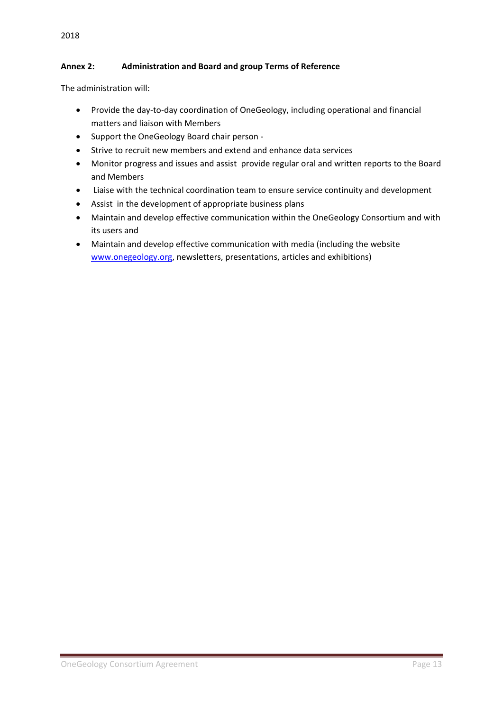## 2018

## **Annex 2: Administration and Board and group Terms of Reference**

The administration will:

- Provide the day-to-day coordination of OneGeology, including operational and financial matters and liaison with Members
- Support the OneGeology Board chair person -
- Strive to recruit new members and extend and enhance data services
- Monitor progress and issues and assist provide regular oral and written reports to the Board and Members
- Liaise with the technical coordination team to ensure service continuity and development
- Assist in the development of appropriate business plans
- Maintain and develop effective communication within the OneGeology Consortium and with its users and
- Maintain and develop effective communication with media (including the website [www.onegeology.org,](http://www.onegeology.org/) newsletters, presentations, articles and exhibitions)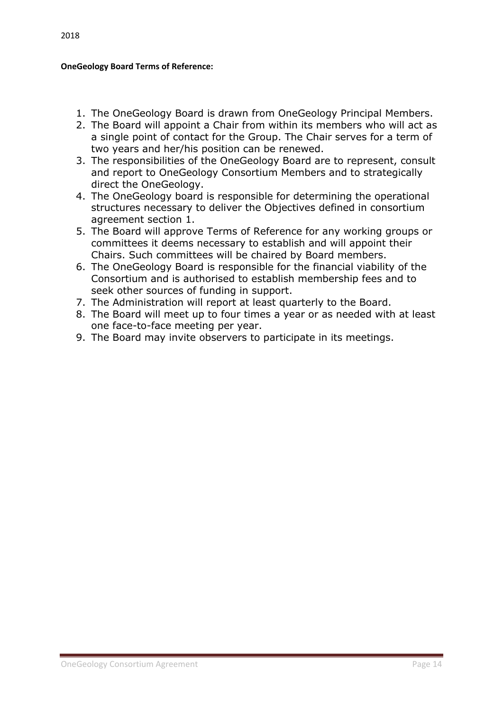## **OneGeology Board Terms of Reference:**

- 1. The OneGeology Board is drawn from OneGeology Principal Members.
- 2. The Board will appoint a Chair from within its members who will act as a single point of contact for the Group. The Chair serves for a term of two years and her/his position can be renewed.
- 3. The responsibilities of the OneGeology Board are to represent, consult and report to OneGeology Consortium Members and to strategically direct the OneGeology.
- 4. The OneGeology board is responsible for determining the operational structures necessary to deliver the Objectives defined in consortium agreement section 1.
- 5. The Board will approve Terms of Reference for any working groups or committees it deems necessary to establish and will appoint their Chairs. Such committees will be chaired by Board members.
- 6. The OneGeology Board is responsible for the financial viability of the Consortium and is authorised to establish membership fees and to seek other sources of funding in support.
- 7. The Administration will report at least quarterly to the Board.
- 8. The Board will meet up to four times a year or as needed with at least one face-to-face meeting per year.
- 9. The Board may invite observers to participate in its meetings.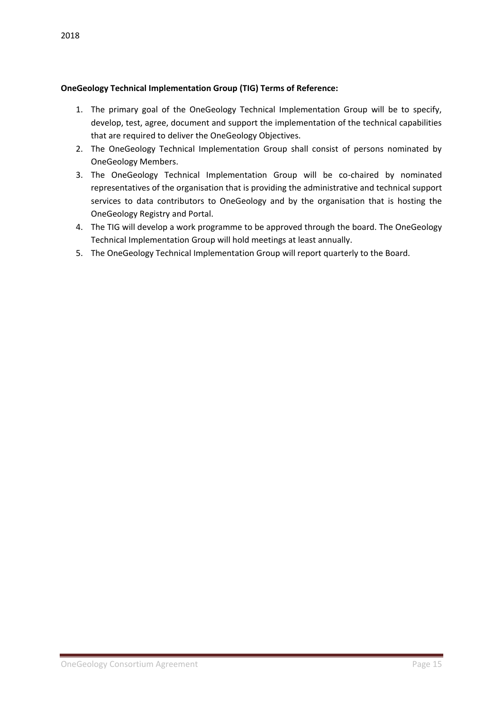## **OneGeology Technical Implementation Group (TIG) Terms of Reference:**

- 1. The primary goal of the OneGeology Technical Implementation Group will be to specify, develop, test, agree, document and support the implementation of the technical capabilities that are required to deliver the OneGeology Objectives.
- 2. The OneGeology Technical Implementation Group shall consist of persons nominated by OneGeology Members.
- 3. The OneGeology Technical Implementation Group will be co-chaired by nominated representatives of the organisation that is providing the administrative and technical support services to data contributors to OneGeology and by the organisation that is hosting the OneGeology Registry and Portal.
- 4. The TIG will develop a work programme to be approved through the board. The OneGeology Technical Implementation Group will hold meetings at least annually.
- 5. The OneGeology Technical Implementation Group will report quarterly to the Board.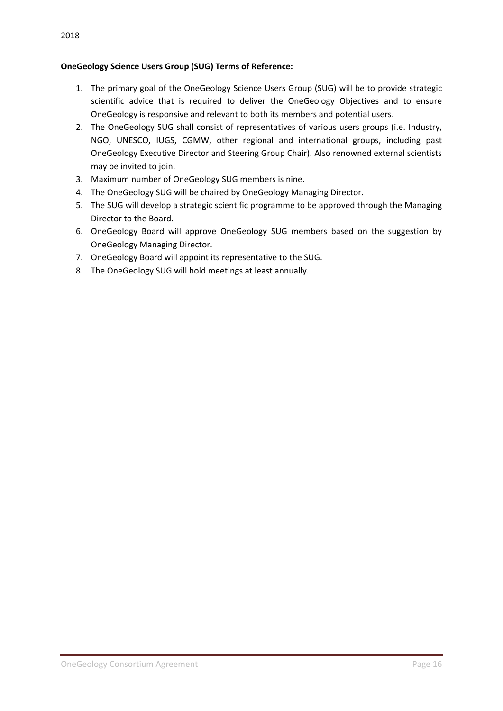## **OneGeology Science Users Group (SUG) Terms of Reference:**

- 1. The primary goal of the OneGeology Science Users Group (SUG) will be to provide strategic scientific advice that is required to deliver the OneGeology Objectives and to ensure OneGeology is responsive and relevant to both its members and potential users.
- 2. The OneGeology SUG shall consist of representatives of various users groups (i.e. Industry, NGO, UNESCO, IUGS, CGMW, other regional and international groups, including past OneGeology Executive Director and Steering Group Chair). Also renowned external scientists may be invited to join.
- 3. Maximum number of OneGeology SUG members is nine.
- 4. The OneGeology SUG will be chaired by OneGeology Managing Director.
- 5. The SUG will develop a strategic scientific programme to be approved through the Managing Director to the Board.
- 6. OneGeology Board will approve OneGeology SUG members based on the suggestion by OneGeology Managing Director.
- 7. OneGeology Board will appoint its representative to the SUG.
- 8. The OneGeology SUG will hold meetings at least annually.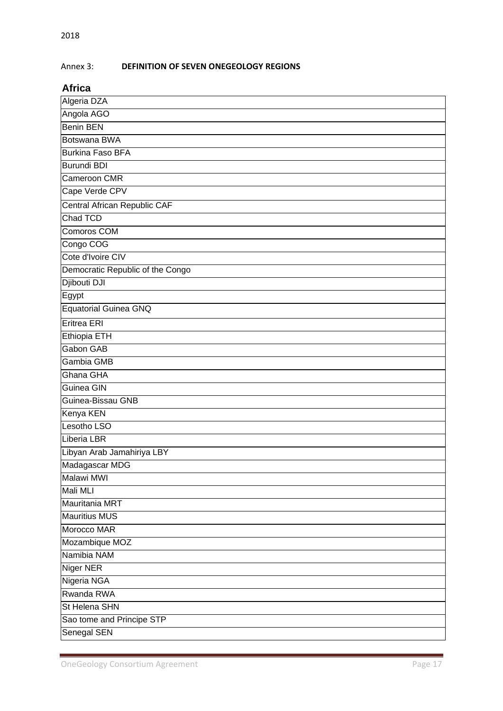## Annex 3: **DEFINITION OF SEVEN ONEGEOLOGY REGIONS**

#### **Africa**

| Algeria DZA                         |
|-------------------------------------|
| Angola AGO                          |
| <b>Benin BEN</b>                    |
| Botswana BWA                        |
| <b>Burkina Faso BFA</b>             |
| <b>Burundi BDI</b>                  |
| Cameroon CMR                        |
| Cape Verde CPV                      |
| <b>Central African Republic CAF</b> |
| Chad TCD                            |
| Comoros COM                         |
| Congo COG                           |
| Cote d'Ivoire CIV                   |
| Democratic Republic of the Congo    |
| Djibouti DJI                        |
| Egypt                               |
| <b>Equatorial Guinea GNQ</b>        |
| Eritrea ERI                         |
| Ethiopia ETH                        |
| <b>Gabon GAB</b>                    |
| Gambia GMB                          |
| Ghana GHA                           |
| Guinea GIN                          |
| Guinea-Bissau GNB                   |
| Kenya KEN                           |
| Lesotho LSO                         |
| Liberia LBR                         |
| Libyan Arab Jamahiriya LBY          |
| Madagascar MDG                      |
| Malawi MWI                          |
| Mali MLI                            |
| Mauritania MRT                      |
| <b>Mauritius MUS</b>                |
| Morocco MAR                         |
| Mozambique MOZ                      |
| Namibia NAM                         |
| <b>Niger NER</b>                    |
| Nigeria NGA                         |
| Rwanda RWA                          |
| St Helena SHN                       |
| Sao tome and Principe STP           |
| <b>Senegal SEN</b>                  |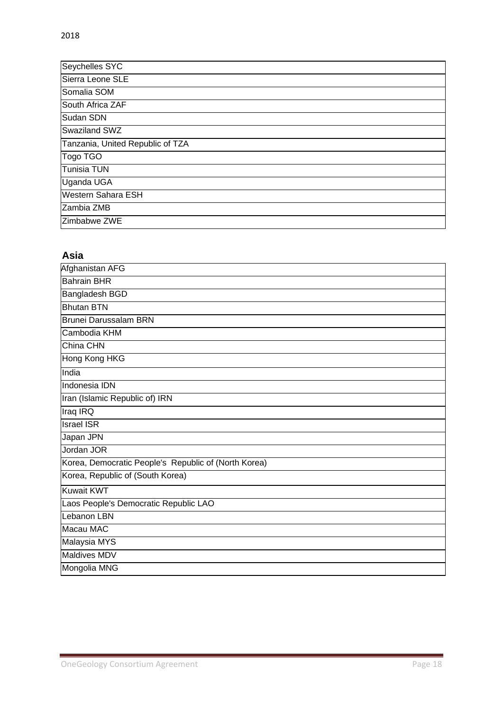| Seychelles SYC                   |
|----------------------------------|
| Sierra Leone SLE                 |
| Somalia SOM                      |
| South Africa ZAF                 |
| Sudan SDN                        |
| Swaziland SWZ                    |
| Tanzania, United Republic of TZA |
| Togo TGO                         |
| Tunisia TUN                      |
| Uganda UGA                       |
| <b>Western Sahara ESH</b>        |
| Zambia ZMB                       |
| Zimbabwe ZWE                     |

## **Asia**

| Afghanistan AFG                                      |
|------------------------------------------------------|
| <b>Bahrain BHR</b>                                   |
| Bangladesh BGD                                       |
| <b>Bhutan BTN</b>                                    |
| <b>Brunei Darussalam BRN</b>                         |
| Cambodia KHM                                         |
| China CHN                                            |
| Hong Kong HKG                                        |
| India                                                |
| Indonesia IDN                                        |
| Iran (Islamic Republic of) IRN                       |
| Iraq IRQ                                             |
| <b>Israel ISR</b>                                    |
| Japan JPN                                            |
| Jordan JOR                                           |
| Korea, Democratic People's Republic of (North Korea) |
| Korea, Republic of (South Korea)                     |
| <b>Kuwait KWT</b>                                    |
| Laos People's Democratic Republic LAO                |
| Lebanon LBN                                          |
| Macau MAC                                            |
| Malaysia MYS                                         |
| <b>Maldives MDV</b>                                  |
| Mongolia MNG                                         |

ī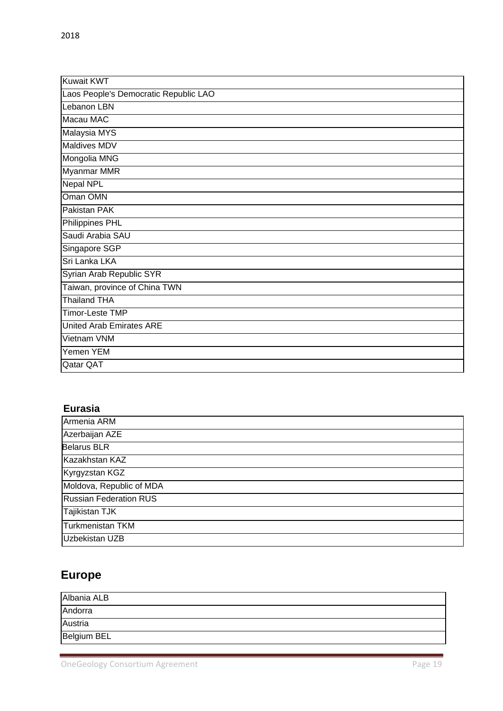| Kuwait KWT                            |
|---------------------------------------|
| Laos People's Democratic Republic LAO |
| Lebanon LBN                           |
| Macau MAC                             |
| Malaysia MYS                          |
| Maldives MDV                          |
| Mongolia MNG                          |
| Myanmar MMR                           |
| <b>Nepal NPL</b>                      |
| Oman OMN                              |
| Pakistan PAK                          |
| Philippines PHL                       |
| Saudi Arabia SAU                      |
| Singapore SGP                         |
| Sri Lanka LKA                         |
| Syrian Arab Republic SYR              |
| Taiwan, province of China TWN         |
| <b>Thailand THA</b>                   |
| Timor-Leste TMP                       |
| <b>United Arab Emirates ARE</b>       |
| Vietnam VNM                           |
| Yemen YEM                             |
| Qatar QAT                             |

## **Eurasia**

| Armenia ARM                   |
|-------------------------------|
| Azerbaijan AZE                |
| <b>Belarus BLR</b>            |
| Kazakhstan KAZ                |
| Kyrgyzstan KGZ                |
| Moldova, Republic of MDA      |
| <b>Russian Federation RUS</b> |
| Tajikistan TJK                |
| Turkmenistan TKM              |
| Uzbekistan UZB                |

# **Europe**

| Albania ALB        |  |
|--------------------|--|
| Andorra            |  |
| Austria            |  |
| <b>Belgium BEL</b> |  |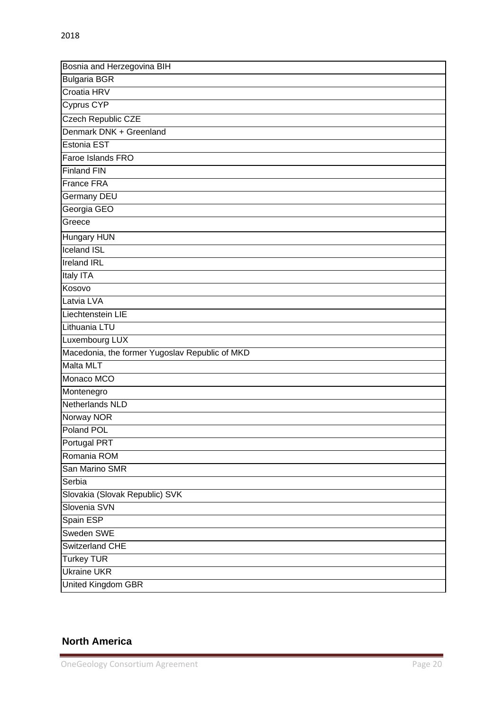| Bosnia and Herzegovina BIH                     |
|------------------------------------------------|
| <b>Bulgaria BGR</b>                            |
| Croatia HRV                                    |
| Cyprus CYP                                     |
| <b>Czech Republic CZE</b>                      |
| Denmark DNK + Greenland                        |
| Estonia EST                                    |
| Faroe Islands FRO                              |
| <b>Finland FIN</b>                             |
| France FRA                                     |
| <b>Germany DEU</b>                             |
| Georgia GEO                                    |
| Greece                                         |
| <b>Hungary HUN</b>                             |
| <b>Iceland ISL</b>                             |
| <b>Ireland IRL</b>                             |
| Italy ITA                                      |
| Kosovo                                         |
| Latvia LVA                                     |
| Liechtenstein LIE                              |
| Lithuania LTU                                  |
| Luxembourg LUX                                 |
| Macedonia, the former Yugoslav Republic of MKD |
| Malta MLT                                      |
| Monaco MCO                                     |
| Montenegro                                     |
| Netherlands NLD                                |
| Norway NOR                                     |
| Poland POL                                     |
| Portugal PRT                                   |
| Romania ROM                                    |
| San Marino SMR                                 |
| Serbia                                         |
| Slovakia (Slovak Republic) SVK                 |
| Slovenia SVN                                   |
| Spain ESP                                      |
| Sweden SWE                                     |
| Switzerland CHE                                |
| <b>Turkey TUR</b>                              |
| <b>Ukraine UKR</b>                             |
| <b>United Kingdom GBR</b>                      |

## **North America**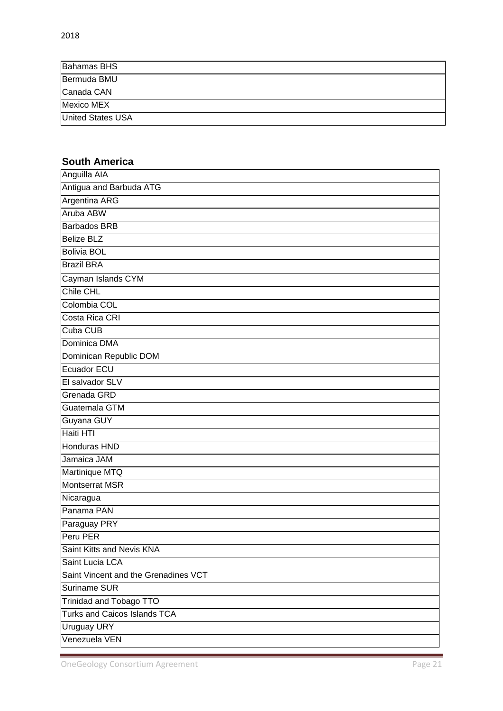| <b>Bahamas BHS</b>       |  |
|--------------------------|--|
| Bermuda BMU              |  |
| Canada CAN               |  |
| Mexico MEX               |  |
| <b>United States USA</b> |  |

## **South America**

| Anguilla AIA                         |
|--------------------------------------|
| Antigua and Barbuda ATG              |
| <b>Argentina ARG</b>                 |
| Aruba ABW                            |
| <b>Barbados BRB</b>                  |
| <b>Belize BLZ</b>                    |
| <b>Bolivia BOL</b>                   |
| <b>Brazil BRA</b>                    |
| Cayman Islands CYM                   |
| <b>Chile CHL</b>                     |
| Colombia COL                         |
| Costa Rica CRI                       |
| <b>Cuba CUB</b>                      |
| Dominica DMA                         |
| Dominican Republic DOM               |
| Ecuador ECU                          |
| El salvador SLV                      |
| Grenada GRD                          |
| Guatemala GTM                        |
| Guyana GUY                           |
| Haiti HTI                            |
| Honduras HND                         |
| Jamaica JAM                          |
| Martinique MTQ                       |
| <b>Montserrat MSR</b>                |
| Nicaragua                            |
| Panama PAN                           |
| Paraguay PRY                         |
| Peru PER                             |
| Saint Kitts and Nevis KNA            |
| Saint Lucia LCA                      |
| Saint Vincent and the Grenadines VCT |
| <b>Suriname SUR</b>                  |
| Trinidad and Tobago TTO              |
| <b>Turks and Caicos Islands TCA</b>  |
| <b>Uruguay URY</b>                   |
| Venezuela VEN                        |

Ĩ.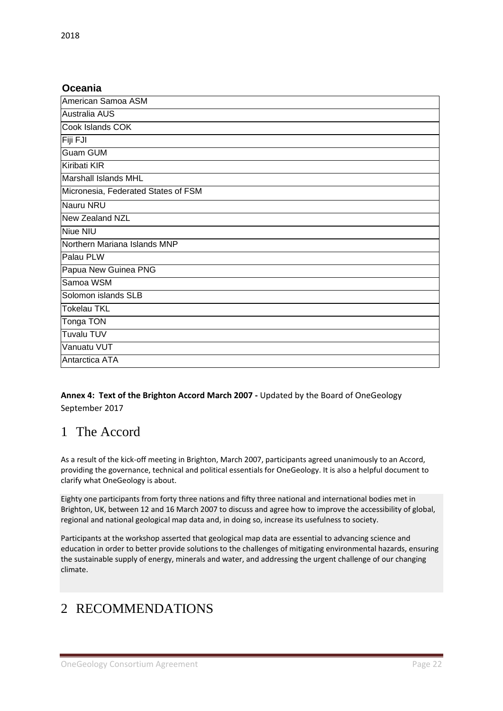## **Oceania**

| American Samoa ASM                  |
|-------------------------------------|
| <b>Australia AUS</b>                |
| Cook Islands COK                    |
| Fiji FJI                            |
| <b>Guam GUM</b>                     |
| Kiribati KIR                        |
| <b>Marshall Islands MHL</b>         |
| Micronesia, Federated States of FSM |
| Nauru NRU                           |
| New Zealand NZL                     |
| <b>Niue NIU</b>                     |
| Northern Mariana Islands MNP        |
| Palau PLW                           |
| Papua New Guinea PNG                |
| Samoa WSM                           |
| Solomon islands SLB                 |
| <b>Tokelau TKL</b>                  |
| Tonga TON                           |
| <b>Tuvalu TUV</b>                   |
| Vanuatu VUT                         |
| Antarctica ATA                      |

## **Annex 4: Text of the Brighton Accord March 2007 -** Updated by the Board of OneGeology September 2017

## 1 The Accord

As a result of the kick-off meeting in Brighton, March 2007, participants agreed unanimously to an Accord, providing the governance, technical and political essentials for OneGeology. It is also a helpful document to clarify what OneGeology is about.

Eighty one participants from forty three nations and fifty three national and international bodies met in Brighton, UK, between 12 and 16 March 2007 to discuss and agree how to improve the accessibility of global, regional and national geological map data and, in doing so, increase its usefulness to society.

Participants at the workshop asserted that geological map data are essential to advancing science and education in order to better provide solutions to the challenges of mitigating environmental hazards, ensuring the sustainable supply of energy, minerals and water, and addressing the urgent challenge of our changing climate.

# 2 RECOMMENDATIONS